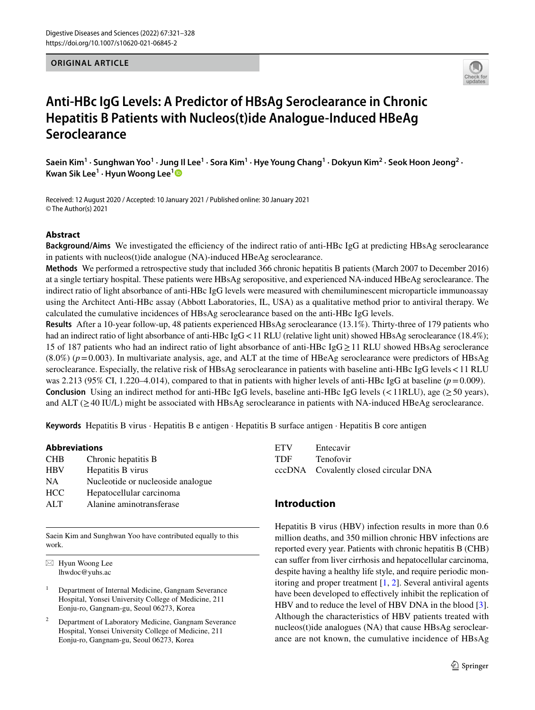## **ORIGINAL ARTICLE**



# **Anti‑HBc IgG Levels: A Predictor of HBsAg Seroclearance in Chronic Hepatitis B Patients with Nucleos(t)ide Analogue‑Induced HBeAg Seroclearance**

 ${\sf S}$ aein Kim<sup>1</sup> • Sunghwan Yoo<sup>1</sup> • Jung Il Lee<sup>1</sup> • Sora Kim<sup>1</sup> • Hye Young Chang<sup>1</sup> • Dokyun Kim<sup>2</sup> • Seok Hoon Jeong<sup>2</sup> • **Kwan Sik Lee<sup>1</sup> · Hyun Woong Lee[1](http://orcid.org/0000-0002-6958-3035)**

Received: 12 August 2020 / Accepted: 10 January 2021 / Published online: 30 January 2021 © The Author(s) 2021

## **Abstract**

**Background/Aims** We investigated the efficiency of the indirect ratio of anti-HBc IgG at predicting HBsAg seroclearance in patients with nucleos(t)ide analogue (NA)-induced HBeAg seroclearance.

**Methods** We performed a retrospective study that included 366 chronic hepatitis B patients (March 2007 to December 2016) at a single tertiary hospital. These patients were HBsAg seropositive, and experienced NA-induced HBeAg seroclearance. The indirect ratio of light absorbance of anti-HBc IgG levels were measured with chemiluminescent microparticle immunoassay using the Architect Anti-HBc assay (Abbott Laboratories, IL, USA) as a qualitative method prior to antiviral therapy. We calculated the cumulative incidences of HBsAg seroclearance based on the anti-HBc IgG levels.

**Results** After a 10-year follow-up, 48 patients experienced HBsAg seroclearance (13.1%). Thirty-three of 179 patients who had an indirect ratio of light absorbance of anti-HBc IgG < 11 RLU (relative light unit) showed HBsAg seroclearance (18.4%); 15 of 187 patients who had an indirect ratio of light absorbance of anti-HBc IgG ≥11 RLU showed HBsAg seroclerance  $(8.0\%)$  ( $p=0.003$ ). In multivariate analysis, age, and ALT at the time of HBeAg seroclearance were predictors of HBsAg seroclearance. Especially, the relative risk of HBsAg seroclearance in patients with baseline anti-HBc IgG levels<11 RLU was 2.213 (95% CI, 1.220–4.014), compared to that in patients with higher levels of anti-HBc IgG at baseline ( $p=0.009$ ). **Conclusion** Using an indirect method for anti-HBc IgG levels, baseline anti-HBc IgG levels (<11RLU), age ( $\geq$ 50 years), and ALT ( $\geq$ 40 IU/L) might be associated with HBsAg seroclearance in patients with NA-induced HBeAg seroclearance.

**Keywords** Hepatitis B virus · Hepatitis B e antigen · Hepatitis B surface antigen · Hepatitis B core antigen

#### **Abbreviations**

| <b>CHB</b> | Chronic hepatitis B               |
|------------|-----------------------------------|
| <b>HBV</b> | Hepatitis B virus                 |
| <b>NA</b>  | Nucleotide or nucleoside analogue |
| <b>HCC</b> | Hepatocellular carcinoma          |
| ATT        | Alanine aminotransferase          |
|            |                                   |

Saein Kim and Sunghwan Yoo have contributed equally to this work.

 $\boxtimes$  Hyun Woong Lee lhwdoc@yuhs.ac

<sup>1</sup> Department of Internal Medicine, Gangnam Severance Hospital, Yonsei University College of Medicine, 211 Eonju-ro, Gangnam-gu, Seoul 06273, Korea

Department of Laboratory Medicine, Gangnam Severance Hospital, Yonsei University College of Medicine, 211 Eonju-ro, Gangnam-gu, Seoul 06273, Korea

| <b>ETV</b> | Entecavir                             |
|------------|---------------------------------------|
| <b>TDF</b> | <b>Tenofovir</b>                      |
|            | cccDNA Covalently closed circular DNA |

## **Introduction**

Hepatitis B virus (HBV) infection results in more than 0.6 million deaths, and 350 million chronic HBV infections are reported every year. Patients with chronic hepatitis B (CHB) can sufer from liver cirrhosis and hepatocellular carcinoma, despite having a healthy life style, and require periodic monitoring and proper treatment [\[1](#page-7-0), [2](#page-7-1)]. Several antiviral agents have been developed to efectively inhibit the replication of HBV and to reduce the level of HBV DNA in the blood [\[3](#page-7-2)]. Although the characteristics of HBV patients treated with nucleos(t)ide analogues (NA) that cause HBsAg seroclearance are not known, the cumulative incidence of HBsAg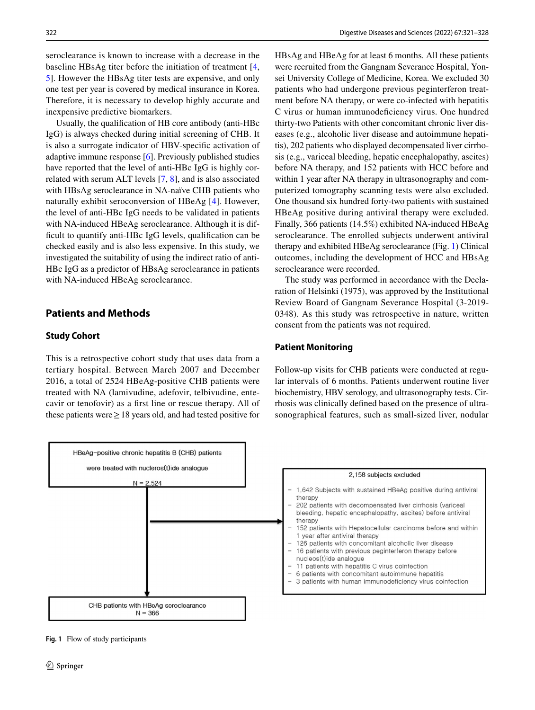seroclearance is known to increase with a decrease in the baseline HBsAg titer before the initiation of treatment [[4,](#page-7-3) [5](#page-7-4)]. However the HBsAg titer tests are expensive, and only one test per year is covered by medical insurance in Korea. Therefore, it is necessary to develop highly accurate and inexpensive predictive biomarkers.

Usually, the qualifcation of HB core antibody (anti-HBc IgG) is always checked during initial screening of CHB. It is also a surrogate indicator of HBV-specifc activation of adaptive immune response [[6\]](#page-7-5). Previously published studies have reported that the level of anti-HBc IgG is highly correlated with serum ALT levels [\[7](#page-7-6), [8](#page-7-7)], and is also associated with HBsAg seroclearance in NA-naïve CHB patients who naturally exhibit seroconversion of HBeAg [[4](#page-7-3)]. However, the level of anti-HBc IgG needs to be validated in patients with NA-induced HBeAg seroclearance. Although it is difficult to quantify anti-HBc IgG levels, qualification can be checked easily and is also less expensive. In this study, we investigated the suitability of using the indirect ratio of anti-HBc IgG as a predictor of HBsAg seroclearance in patients with NA-induced HBeAg seroclearance.

# **Patients and Methods**

#### **Study Cohort**

This is a retrospective cohort study that uses data from a tertiary hospital. Between March 2007 and December 2016, a total of 2524 HBeAg-positive CHB patients were treated with NA (lamivudine, adefovir, telbivudine, entecavir or tenofovir) as a frst line or rescue therapy. All of these patients were  $\geq$  18 years old, and had tested positive for HBsAg and HBeAg for at least 6 months. All these patients were recruited from the Gangnam Severance Hospital, Yonsei University College of Medicine, Korea. We excluded 30 patients who had undergone previous peginterferon treatment before NA therapy, or were co-infected with hepatitis C virus or human immunodeficiency virus. One hundred thirty-two Patients with other concomitant chronic liver diseases (e.g., alcoholic liver disease and autoimmune hepatitis), 202 patients who displayed decompensated liver cirrhosis (e.g., variceal bleeding, hepatic encephalopathy, ascites) before NA therapy, and 152 patients with HCC before and within 1 year after NA therapy in ultrasonography and computerized tomography scanning tests were also excluded. One thousand six hundred forty-two patients with sustained HBeAg positive during antiviral therapy were excluded. Finally, 366 patients (14.5%) exhibited NA-induced HBeAg seroclearance. The enrolled subjects underwent antiviral therapy and exhibited HBeAg seroclearance (Fig. [1](#page-1-0)) Clinical outcomes, including the development of HCC and HBsAg seroclearance were recorded.

The study was performed in accordance with the Declaration of Helsinki (1975), was approved by the Institutional Review Board of Gangnam Severance Hospital (3-2019- 0348). As this study was retrospective in nature, written consent from the patients was not required.

#### **Patient Monitoring**

Follow-up visits for CHB patients were conducted at regular intervals of 6 months. Patients underwent routine liver biochemistry, HBV serology, and ultrasonography tests. Cirrhosis was clinically defned based on the presence of ultrasonographical features, such as small-sized liver, nodular



<span id="page-1-0"></span>**Fig. 1** Flow of study participants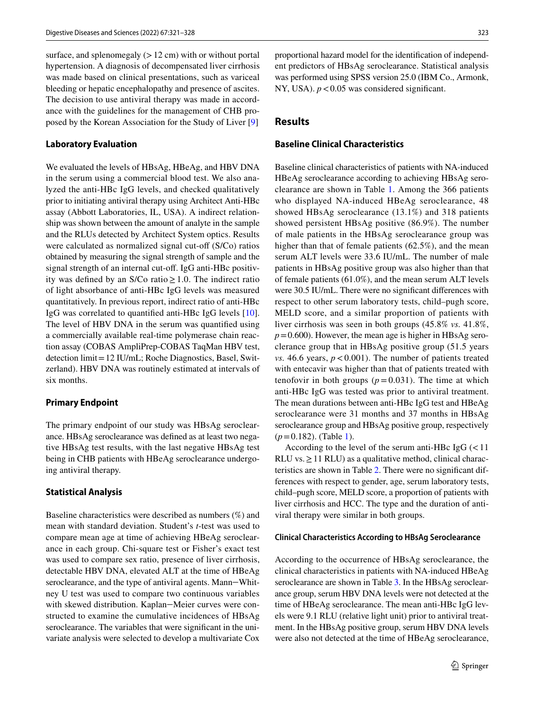surface, and splenomegaly  $(12 \text{ cm})$  with or without portal hypertension. A diagnosis of decompensated liver cirrhosis was made based on clinical presentations, such as variceal bleeding or hepatic encephalopathy and presence of ascites. The decision to use antiviral therapy was made in accordance with the guidelines for the management of CHB proposed by the Korean Association for the Study of Liver [\[9](#page-7-8)]

#### **Laboratory Evaluation**

We evaluated the levels of HBsAg, HBeAg, and HBV DNA in the serum using a commercial blood test. We also analyzed the anti-HBc IgG levels, and checked qualitatively prior to initiating antiviral therapy using Architect Anti-HBc assay (Abbott Laboratories, IL, USA). A indirect relationship was shown between the amount of analyte in the sample and the RLUs detected by Architect System optics. Results were calculated as normalized signal cut-off (S/Co) ratios obtained by measuring the signal strength of sample and the signal strength of an internal cut-off. IgG anti-HBc positivity was defined by an S/Co ratio  $\geq 1.0$ . The indirect ratio of light absorbance of anti-HBc IgG levels was measured quantitatively. In previous report, indirect ratio of anti-HBc IgG was correlated to quantifed anti-HBc IgG levels [\[10](#page-7-9)]. The level of HBV DNA in the serum was quantifed using a commercially available real-time polymerase chain reaction assay (COBAS AmpliPrep-COBAS TaqMan HBV test, detection limit=12 IU/mL; Roche Diagnostics, Basel, Switzerland). HBV DNA was routinely estimated at intervals of six months.

#### **Primary Endpoint**

The primary endpoint of our study was HBsAg seroclearance. HBsAg seroclearance was defned as at least two negative HBsAg test results, with the last negative HBsAg test being in CHB patients with HBeAg seroclearance undergoing antiviral therapy.

## **Statistical Analysis**

Baseline characteristics were described as numbers (%) and mean with standard deviation. Student's *t*-test was used to compare mean age at time of achieving HBeAg seroclearance in each group. Chi-square test or Fisher's exact test was used to compare sex ratio, presence of liver cirrhosis, detectable HBV DNA, elevated ALT at the time of HBeAg seroclearance, and the type of antiviral agents. Mann-Whitney U test was used to compare two continuous variables with skewed distribution. Kaplan–Meier curves were constructed to examine the cumulative incidences of HBsAg seroclearance. The variables that were signifcant in the univariate analysis were selected to develop a multivariate Cox

proportional hazard model for the identifcation of independent predictors of HBsAg seroclearance. Statistical analysis was performed using SPSS version 25.0 (IBM Co., Armonk, NY, USA).  $p < 0.05$  was considered significant.

# **Results**

## **Baseline Clinical Characteristics**

Baseline clinical characteristics of patients with NA-induced HBeAg seroclearance according to achieving HBsAg seroclearance are shown in Table [1](#page-3-0). Among the 366 patients who displayed NA-induced HBeAg seroclearance, 48 showed HBsAg seroclearance (13.1%) and 318 patients showed persistent HBsAg positive (86.9%). The number of male patients in the HBsAg seroclearance group was higher than that of female patients (62.5%), and the mean serum ALT levels were 33.6 IU/mL. The number of male patients in HBsAg positive group was also higher than that of female patients (61.0%), and the mean serum ALT levels were 30.5 IU/mL. There were no significant differences with respect to other serum laboratory tests, child–pugh score, MELD score, and a similar proportion of patients with liver cirrhosis was seen in both groups (45.8% *vs.* 41.8%,  $p=0.600$ ). However, the mean age is higher in HBsAg seroclerance group that in HBsAg positive group (51.5 years *vs.* 46.6 years,  $p < 0.001$ ). The number of patients treated with entecavir was higher than that of patients treated with tenofovir in both groups  $(p=0.031)$ . The time at which anti-HBc IgG was tested was prior to antiviral treatment. The mean durations between anti-HBc IgG test and HBeAg seroclearance were 31 months and 37 months in HBsAg seroclearance group and HBsAg positive group, respectively  $(p=0.182)$ . (Table [1\)](#page-3-0).

According to the level of the serum anti-HBc IgG  $\left($  < 11 RLU vs.  $\geq$  11 RLU) as a qualitative method, clinical characteristics are shown in Table [2.](#page-3-1) There were no signifcant differences with respect to gender, age, serum laboratory tests, child–pugh score, MELD score, a proportion of patients with liver cirrhosis and HCC. The type and the duration of antiviral therapy were similar in both groups.

#### **Clinical Characteristics According to HBsAg Seroclearance**

According to the occurrence of HBsAg seroclearance, the clinical characteristics in patients with NA-induced HBeAg seroclearance are shown in Table [3.](#page-4-0) In the HBsAg seroclearance group, serum HBV DNA levels were not detected at the time of HBeAg seroclearance. The mean anti-HBc IgG levels were 9.1 RLU (relative light unit) prior to antiviral treatment. In the HBsAg positive group, serum HBV DNA levels were also not detected at the time of HBeAg seroclearance,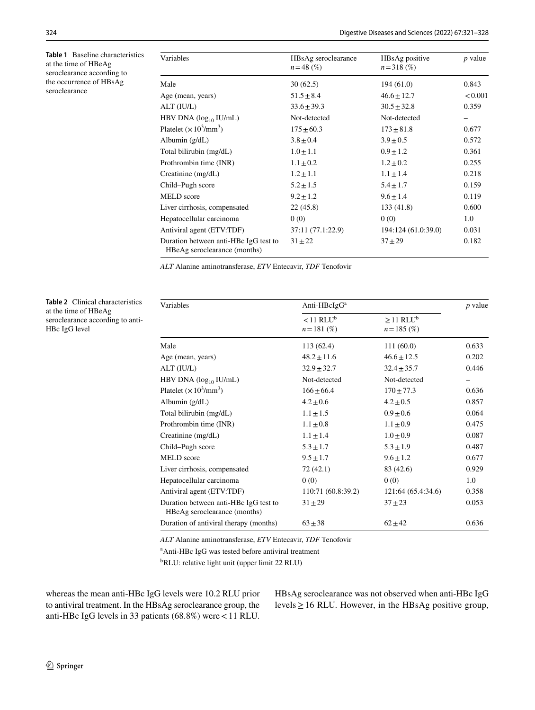<span id="page-3-0"></span>**Table 1** Baseline characteristics at the time of HBeAg seroclearance according to the occurrence of HBsAg seroclearance

 $\overline{a}$ 

| Variables                                                             | HBsAg seroclearance<br>$n = 48$ (%) | HBsAg positive<br>$n = 318$ (%) | $p$ value |
|-----------------------------------------------------------------------|-------------------------------------|---------------------------------|-----------|
| Male                                                                  | 30(62.5)                            | 194(61.0)                       | 0.843     |
| Age (mean, years)                                                     | $51.5 \pm 8.4$                      | $46.6 \pm 12.7$                 | < 0.001   |
| ALT (IU/L)                                                            | $33.6 \pm 39.3$                     | $30.5 \pm 32.8$                 | 0.359     |
| HBV DNA $(\log_{10}$ IU/mL)                                           | Not-detected                        | Not-detected                    |           |
| Platelet $(\times 10^3/\text{mm}^3)$                                  | $175 \pm 60.3$                      | $173 + 81.8$                    | 0.677     |
| Albumin $(g/dL)$                                                      | $3.8 \pm 0.4$                       | $3.9 \pm 0.5$                   | 0.572     |
| Total bilirubin (mg/dL)                                               | $1.0 \pm 1.1$                       | $0.9 \pm 1.2$                   | 0.361     |
| Prothrombin time (INR)                                                | $1.1 \pm 0.2$                       | $1.2 \pm 0.2$                   | 0.255     |
| Creatinine (mg/dL)                                                    | $1.2 \pm 1.1$                       | $1.1 \pm 1.4$                   | 0.218     |
| Child-Pugh score                                                      | $5.2 \pm 1.5$                       | $5.4 \pm 1.7$                   | 0.159     |
| <b>MELD</b> score                                                     | $9.2 \pm 1.2$                       | $9.6 \pm 1.4$                   | 0.119     |
| Liver cirrhosis, compensated                                          | 22(45.8)                            | 133(41.8)                       | 0.600     |
| Hepatocellular carcinoma                                              | 0(0)                                | 0(0)                            | 1.0       |
| Antiviral agent (ETV:TDF)                                             | 37:11 (77.1:22.9)                   | 194:124 (61.0:39.0)             | 0.031     |
| Duration between anti-HBc IgG test to<br>HBeAg seroclearance (months) | $31 \pm 22$                         | $37 + 29$                       | 0.182     |

*ALT* Alanine aminotransferase, *ETV* Entecavir, *TDF* Tenofovir

<span id="page-3-1"></span>**Table 2** Clinical characteristics at the time of HBeAg seroclearance according to anti-HBc IgG level

| Variables                                                             | Anti-HBcIgG <sup>a</sup>                 |                                             |       |
|-----------------------------------------------------------------------|------------------------------------------|---------------------------------------------|-------|
|                                                                       | $<$ 11 RLU <sup>b</sup><br>$n = 181$ (%) | $\geq$ 11 RLU <sup>b</sup><br>$n = 185$ (%) |       |
| Male                                                                  | 113(62.4)                                | 111(60.0)                                   | 0.633 |
| Age (mean, years)                                                     | $48.2 \pm 11.6$                          | $46.6 \pm 12.5$                             | 0.202 |
| ALT (IU/L)                                                            | $32.9 \pm 32.7$                          | $32.4 \pm 35.7$                             | 0.446 |
| HBV DNA $(\log_{10}$ IU/mL)                                           | Not-detected                             | Not-detected                                |       |
| Platelet $(\times 10^3/\text{mm}^3)$                                  | $166 \pm 66.4$                           | $170 \pm 77.3$                              | 0.636 |
| Albumin (g/dL)                                                        | $4.2 \pm 0.6$                            | $4.2 \pm 0.5$                               | 0.857 |
| Total bilirubin (mg/dL)                                               | $1.1 \pm 1.5$                            | $0.9 \pm 0.6$                               | 0.064 |
| Prothrombin time (INR)                                                | $1.1 \pm 0.8$                            | $1.1 \pm 0.9$                               | 0.475 |
| Creatinine (mg/dL)                                                    | $1.1 \pm 1.4$                            | $1.0 \pm 0.9$                               | 0.087 |
| Child-Pugh score                                                      | $5.3 \pm 1.7$                            | $5.3 \pm 1.9$                               | 0.487 |
| <b>MELD</b> score                                                     | $9.5 \pm 1.7$                            | $9.6 \pm 1.2$                               | 0.677 |
| Liver cirrhosis, compensated                                          | 72 (42.1)                                | 83 (42.6)                                   | 0.929 |
| Hepatocellular carcinoma                                              | 0(0)                                     | 0(0)                                        | 1.0   |
| Antiviral agent (ETV:TDF)                                             | 110:71 (60.8:39.2)                       | 121:64 (65.4:34.6)                          | 0.358 |
| Duration between anti-HBc IgG test to<br>HBeAg seroclearance (months) | $31 \pm 29$                              | $37 + 23$                                   | 0.053 |
| Duration of antiviral therapy (months)                                | $63 + 38$                                | $62 + 42$                                   | 0.636 |

*ALT* Alanine aminotransferase, *ETV* Entecavir, *TDF* Tenofovir

a Anti-HBc IgG was tested before antiviral treatment

<sup>b</sup>RLU: relative light unit (upper limit 22 RLU)

whereas the mean anti-HBc IgG levels were 10.2 RLU prior to antiviral treatment. In the HBsAg seroclearance group, the anti-HBc IgG levels in 33 patients (68.8%) were<11 RLU. HBsAg seroclearance was not observed when anti-HBc IgG levels≥16 RLU. However, in the HBsAg positive group,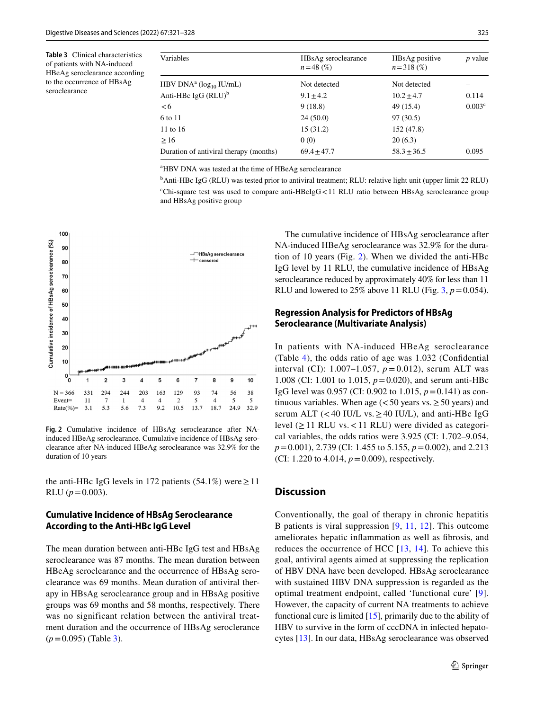<span id="page-4-0"></span>**Table 3** Clinical characteristics of patients with NA-induced HBeAg seroclearance according to the occurrence of HBsAg seroclearance

| Variables                                | HBsAg seroclearance<br>$n = 48$ (%) | HBsAg positive<br>$n = 318$ (%) | $p$ value          |
|------------------------------------------|-------------------------------------|---------------------------------|--------------------|
| HBV DNA <sup>a</sup> ( $log_{10}$ IU/mL) | Not detected                        | Not detected                    |                    |
| Anti-HBc IgG $(RLU)^b$                   | $9.1 \pm 4.2$                       | $10.2 \pm 4.7$                  | 0.114              |
| <6                                       | 9(18.8)                             | 49 (15.4)                       | 0.003 <sup>c</sup> |
| 6 to 11                                  | 24(50.0)                            | 97(30.5)                        |                    |
| 11 to 16                                 | 15 (31.2)                           | 152 (47.8)                      |                    |
| $\geq 16$                                | 0(0)                                | 20(6.3)                         |                    |
| Duration of antiviral therapy (months)   | $69.4 + 47.7$                       | $58.3 \pm 36.5$                 | 0.095              |

a HBV DNA was tested at the time of HBeAg seroclearance

<sup>b</sup>Anti-HBc IgG (RLU) was tested prior to antiviral treatment; RLU: relative light unit (upper limit 22 RLU) c Chi-square test was used to compare anti-HBcIgG<11 RLU ratio between HBsAg seroclearance group and HBsAg positive group



<span id="page-4-1"></span>**Fig. 2** Cumulative incidence of HBsAg seroclearance after NAinduced HBeAg seroclearance. Cumulative incidence of HBsAg seroclearance after NA-induced HBeAg seroclearance was 32.9% for the duration of 10 years

the anti-HBc IgG levels in 172 patients (54.1%) were  $\geq$  11 RLU  $(p=0.003)$ .

## **Cumulative Incidence of HBsAg Seroclearance According to the Anti‑HBc IgG Level**

The mean duration between anti-HBc IgG test and HBsAg seroclearance was 87 months. The mean duration between HBeAg seroclearance and the occurrence of HBsAg seroclearance was 69 months. Mean duration of antiviral therapy in HBsAg seroclearance group and in HBsAg positive groups was 69 months and 58 months, respectively. There was no significant relation between the antiviral treatment duration and the occurrence of HBsAg seroclerance (*p*=0.095) (Table [3](#page-4-0)).

The cumulative incidence of HBsAg seroclearance after NA-induced HBeAg seroclearance was 32.9% for the duration of 10 years (Fig. [2](#page-4-1)). When we divided the anti-HBc IgG level by 11 RLU, the cumulative incidence of HBsAg seroclearance reduced by approximately 40% for less than 11 RLU and lowered to  $25\%$  above 11 RLU (Fig. [3](#page-5-0),  $p = 0.054$ ).

# **Regression Analysis for Predictors of HBsAg Seroclearance (Multivariate Analysis)**

In patients with NA-induced HBeAg seroclearance (Table [4\)](#page-6-0), the odds ratio of age was 1.032 (Confdential interval (CI): 1.007–1.057, *p* = 0.012), serum ALT was 1.008 (CI: 1.001 to 1.015, *p*=0.020), and serum anti-HBc IgG level was 0.957 (CI: 0.902 to 1.015, *p*=0.141) as continuous variables. When age ( $<$  50 years vs.  $\geq$  50 years) and serum ALT (<40 IU/L vs.  $\geq$ 40 IU/L), and anti-HBc IgG level  $(\geq 11$  RLU vs. < 11 RLU) were divided as categorical variables, the odds ratios were 3.925 (CI: 1.702–9.054, *p*=0.001), 2.739 (CI: 1.455 to 5.155, *p*=0.002), and 2.213 (CI: 1.220 to 4.014,  $p = 0.009$ ), respectively.

#### **Discussion**

Conventionally, the goal of therapy in chronic hepatitis B patients is viral suppression [[9](#page-7-8), [11,](#page-7-10) [12\]](#page-7-11). This outcome ameliorates hepatic infammation as well as fbrosis, and reduces the occurrence of HCC  $[13, 14]$  $[13, 14]$  $[13, 14]$  $[13, 14]$ . To achieve this goal, antiviral agents aimed at suppressing the replication of HBV DNA have been developed. HBsAg seroclearance with sustained HBV DNA suppression is regarded as the optimal treatment endpoint, called 'functional cure' [[9](#page-7-8)]. However, the capacity of current NA treatments to achieve functional cure is limited [\[15](#page-7-14)], primarily due to the ability of HBV to survive in the form of cccDNA in infected hepatocytes [[13\]](#page-7-12). In our data, HBsAg seroclearance was observed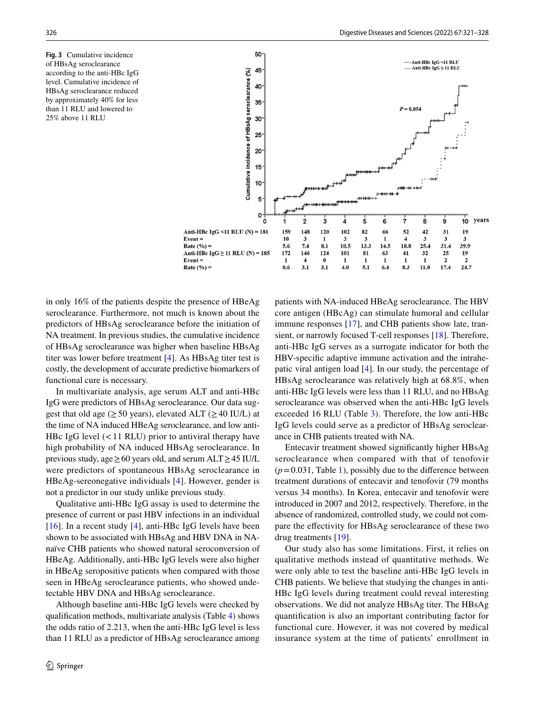<span id="page-5-0"></span>**Fig. 3** Cumulative incidence of HBsAg seroclearance according to the anti-HBc IgG level. Cumulative incidence of HBsAg seroclearance reduced by approximately 40% for less than 11 RLU and lowered to 25% above 11 RLU



in only 16% of the patients despite the presence of HBeAg seroclearance. Furthermore, not much is known about the predictors of HBsAg seroclearance before the initiation of NA treatment. In previous studies, the cumulative incidence of HBsAg seroclearance was higher when baseline HBsAg titer was lower before treatment [\[4](#page-7-3)]. As HBsAg titer test is costly, the development of accurate predictive biomarkers of functional cure is necessary.

In multivariate analysis, age serum ALT and anti-HBc IgG were predictors of HBsAg seroclearance. Our data suggest that old age ( $\geq$  50 years), elevated ALT ( $\geq$  40 IU/L) at the time of NA induced HBeAg seroclearance, and low anti-HBc IgG level  $(< 11$  RLU) prior to antiviral therapy have high probability of NA induced HBsAg seroclearance. In previous study, age≥60 years old, and serum ALT≥45 IU/L were predictors of spontaneous HBsAg seroclearance in HBeAg-sereonegative individuals [[4](#page-7-3)]. However, gender is not a predictor in our study unlike previous study.

Qualitative anti-HBc IgG assay is used to determine the presence of current or past HBV infections in an individual [ $16$ ]. In a recent study [[4\]](#page-7-3), anti-HBc IgG levels have been shown to be associated with HBsAg and HBV DNA in NAnaïve CHB patients who showed natural seroconversion of HBeAg. Additionally, anti-HBc IgG levels were also higher in HBeAg seropositive patients when compared with those seen in HBeAg seroclearance patients, who showed undetectable HBV DNA and HBsAg seroclearance.

Although baseline anti-HBc IgG levels were checked by qualifcation methods, multivariate analysis (Table [4](#page-6-0)) shows the odds ratio of 2.213, when the anti-HBc IgG level is less than 11 RLU as a predictor of HBsAg seroclearance among

patients with NA-induced HBeAg seroclearance. The HBV core antigen (HBcAg) can stimulate humoral and cellular immune responses [\[17\]](#page-7-16), and CHB patients show late, transient, or narrowly focused T-cell responses [[18\]](#page-7-17). Therefore, anti-HBc IgG serves as a surrogate indicator for both the HBV-specifc adaptive immune activation and the intrahepatic viral antigen load [[4](#page-7-3)]. In our study, the percentage of HBsAg seroclearance was relatively high at 68.8%, when anti-HBc IgG levels were less than 11 RLU, and no HBsAg seroclearance was observed when the anti-HBc IgG levels exceeded 16 RLU (Table [3\)](#page-4-0). Therefore, the low anti-HBc IgG levels could serve as a predictor of HBsAg seroclearance in CHB patients treated with NA.

Entecavir treatment showed signifcantly higher HBsAg seroclearance when compared with that of tenofovir  $(p=0.031,$  Table [1\)](#page-3-0), possibly due to the difference between treatment durations of entecavir and tenofovir (79 months versus 34 months). In Korea, entecavir and tenofovir were introduced in 2007 and 2012, respectively. Therefore, in the absence of randomized, controlled study, we could not compare the efectivity for HBsAg seroclearance of these two drug treatments [\[19](#page-7-18)].

Our study also has some limitations. First, it relies on qualitative methods instead of quantitative methods. We were only able to test the baseline anti-HBc IgG levels in CHB patients. We believe that studying the changes in anti-HBc IgG levels during treatment could reveal interesting observations. We did not analyze HBsAg titer. The HBsAg quantifcation is also an important contributing factor for functional cure. However, it was not covered by medical insurance system at the time of patients' enrollment in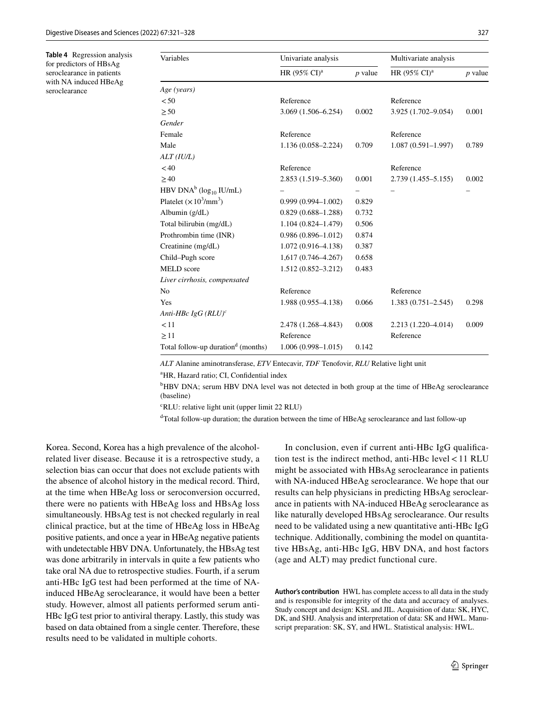<span id="page-6-0"></span>**Table 4** Regression analysis for predictors of HBsAg seroclearance in patients with NA induced HBeAg seroclearance

| Variables                                      | Univariate analysis      |           | Multivariate analysis    |           |
|------------------------------------------------|--------------------------|-----------|--------------------------|-----------|
|                                                | HR (95% CI) <sup>a</sup> | $p$ value | HR (95% CI) <sup>a</sup> | $p$ value |
| Age (years)                                    |                          |           |                          |           |
| < 50                                           | Reference                |           | Reference                |           |
| $\geq 50$                                      | $3.069(1.506 - 6.254)$   | 0.002     | 3.925 (1.702-9.054)      | 0.001     |
| Gender                                         |                          |           |                          |           |
| Female                                         | Reference                |           | Reference                |           |
| Male                                           | $1.136(0.058 - 2.224)$   | 0.709     | $1.087(0.591 - 1.997)$   | 0.789     |
| ALT (IUL)                                      |                          |           |                          |           |
| < 40                                           | Reference                |           | Reference                |           |
| $\geq$ 40                                      | 2.853 (1.519 - 5.360)    | 0.001     | $2.739(1.455 - 5.155)$   | 0.002     |
| HBV DNA <sup>b</sup> ( $log_{10}$ IU/mL)       |                          |           |                          |           |
| Platelet $(\times 10^3/\text{mm}^3)$           | $0.999(0.994 - 1.002)$   | 0.829     |                          |           |
| Albumin $(g/dL)$                               | $0.829(0.688 - 1.288)$   | 0.732     |                          |           |
| Total bilirubin (mg/dL)                        | $1.104(0.824 - 1.479)$   | 0.506     |                          |           |
| Prothrombin time (INR)                         | $0.986(0.896 - 1.012)$   | 0.874     |                          |           |
| Creatinine (mg/dL)                             | $1.072(0.916-4.138)$     | 0.387     |                          |           |
| Child-Pugh score                               | $1,617(0.746-4.267)$     | 0.658     |                          |           |
| <b>MELD</b> score                              | $1.512(0.852 - 3.212)$   | 0.483     |                          |           |
| Liver cirrhosis, compensated                   |                          |           |                          |           |
| No                                             | Reference                |           | Reference                |           |
| Yes                                            | 1.988 (0.955–4.138)      | 0.066     | $1.383(0.751 - 2.545)$   | 0.298     |
| Anti-HBc IgG $(RLU)^c$                         |                          |           |                          |           |
| < 11                                           | 2.478 (1.268–4.843)      | 0.008     | $2.213(1.220-4.014)$     | 0.009     |
| >11                                            | Reference                |           | Reference                |           |
| Total follow-up duration <sup>d</sup> (months) | $1.006(0.998 - 1.015)$   | 0.142     |                          |           |

*ALT* Alanine aminotransferase, *ETV* Entecavir, *TDF* Tenofovir, *RLU* Relative light unit

<sup>a</sup>HR, Hazard ratio; CI, Confidential index

<sup>b</sup>HBV DNA; serum HBV DNA level was not detected in both group at the time of HBeAg seroclearance (baseline)

c RLU: relative light unit (upper limit 22 RLU)

<sup>d</sup>Total follow-up duration; the duration between the time of HBeAg seroclearance and last follow-up

Korea. Second, Korea has a high prevalence of the alcoholrelated liver disease. Because it is a retrospective study, a selection bias can occur that does not exclude patients with the absence of alcohol history in the medical record. Third, at the time when HBeAg loss or seroconversion occurred, there were no patients with HBeAg loss and HBsAg loss simultaneously. HBsAg test is not checked regularly in real clinical practice, but at the time of HBeAg loss in HBeAg positive patients, and once a year in HBeAg negative patients with undetectable HBV DNA. Unfortunately, the HBsAg test was done arbitrarily in intervals in quite a few patients who take oral NA due to retrospective studies. Fourth, if a serum anti-HBc IgG test had been performed at the time of NAinduced HBeAg seroclearance, it would have been a better study. However, almost all patients performed serum anti-HBc IgG test prior to antiviral therapy. Lastly, this study was based on data obtained from a single center. Therefore, these results need to be validated in multiple cohorts.

In conclusion, even if current anti-HBc IgG qualifcation test is the indirect method, anti-HBc level  $<$  11 RLU might be associated with HBsAg seroclearance in patients with NA-induced HBeAg seroclearance. We hope that our results can help physicians in predicting HBsAg seroclearance in patients with NA-induced HBeAg seroclearance as like naturally developed HBsAg seroclearance. Our results need to be validated using a new quantitative anti-HBc IgG technique. Additionally, combining the model on quantitative HBsAg, anti-HBc IgG, HBV DNA, and host factors (age and ALT) may predict functional cure.

**Author's contribution** HWL has complete access to all data in the study and is responsible for integrity of the data and accuracy of analyses. Study concept and design: KSL and JIL. Acquisition of data: SK, HYC, DK, and SHJ. Analysis and interpretation of data: SK and HWL. Manuscript preparation: SK, SY, and HWL. Statistical analysis: HWL.